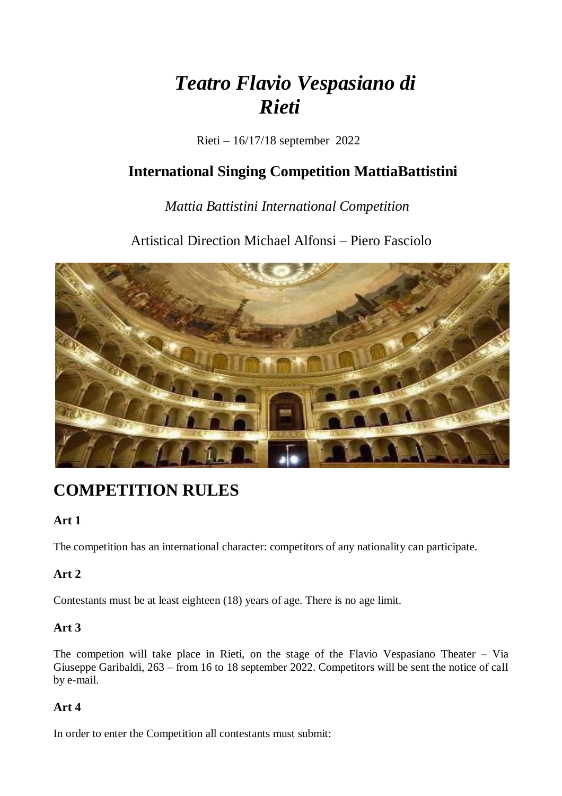# *Teatro Flavio Vespasiano di Rieti*

Rieti – 16/17/18 september 2022

## **International Singing Competition MattiaBattistini**

## *Mattia Battistini International Competition*

Artistical Direction Michael Alfonsi – Piero Fasciolo



# **COMPETITION RULES**

## **Art 1**

The competition has an international character: competitors of any nationality can participate.

## **Art 2**

Contestants must be at least eighteen (18) years of age. There is no age limit.

## **Art 3**

The competion will take place in Rieti, on the stage of the Flavio Vespasiano Theater – Via Giuseppe Garibaldi, 263 – from 16 to 18 september 2022. Competitors will be sent the notice of call by e-mail.

## **Art 4**

In order to enter the Competition all contestants must submit: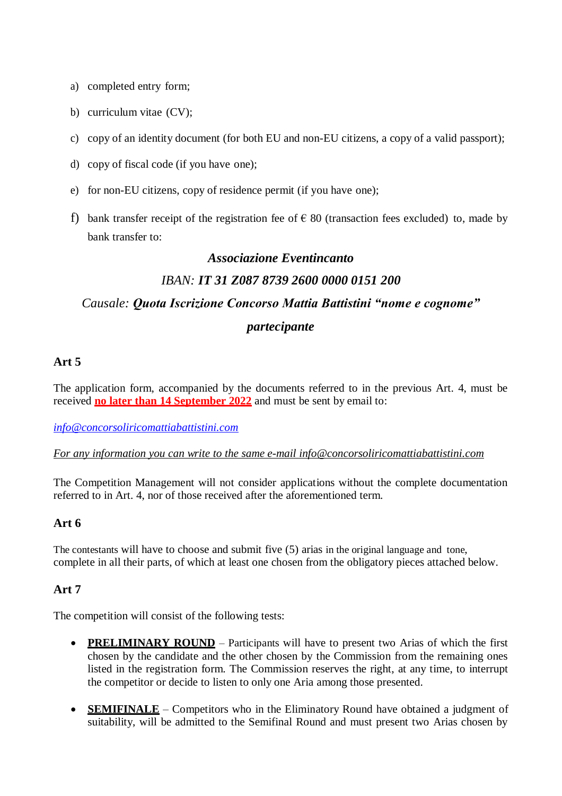- a) completed entry form;
- b) curriculum vitae (CV);
- c) copy of an identity document (for both EU and non-EU citizens, a copy of a valid passport);
- d) copy of fiscal code (if you have one);
- e) for non-EU citizens, copy of residence permit (if you have one);
- f) bank transfer receipt of the registration fee of  $\epsilon$  80 (transaction fees excluded) to, made by bank transfer to:

# *Associazione Eventincanto IBAN: IT 31 Z087 8739 2600 0000 0151 200 Causale: Quota Iscrizione Concorso Mattia Battistini "nome e cognome" partecipante*

#### **Art 5**

The application form, accompanied by the documents referred to in the previous Art. 4, must be received **no later than 14 September 2022** and must be sent by email to:

*[info@concorsoliricomattiabattistini.com](mailto:info@mattiabattistini.com)*

*For any information you can write to the same e-mail [info@concorsoliricomattiabattistini.com](mailto:info@concorsoliricomattiabattistini.com)*

The Competition Management will not consider applications without the complete documentation referred to in Art. 4, nor of those received after the aforementioned term.

#### **Art 6**

The contestants will have to choose and submit five (5) arias in the original language and tone, complete in all their parts, of which at least one chosen from the obligatory pieces attached below.

#### **Art 7**

The competition will consist of the following tests:

- **PRELIMINARY ROUND** Participants will have to present two Arias of which the first chosen by the candidate and the other chosen by the Commission from the remaining ones listed in the registration form. The Commission reserves the right, at any time, to interrupt the competitor or decide to listen to only one Aria among those presented.
- **SEMIFINALE** Competitors who in the Eliminatory Round have obtained a judgment of suitability, will be admitted to the Semifinal Round and must present two Arias chosen by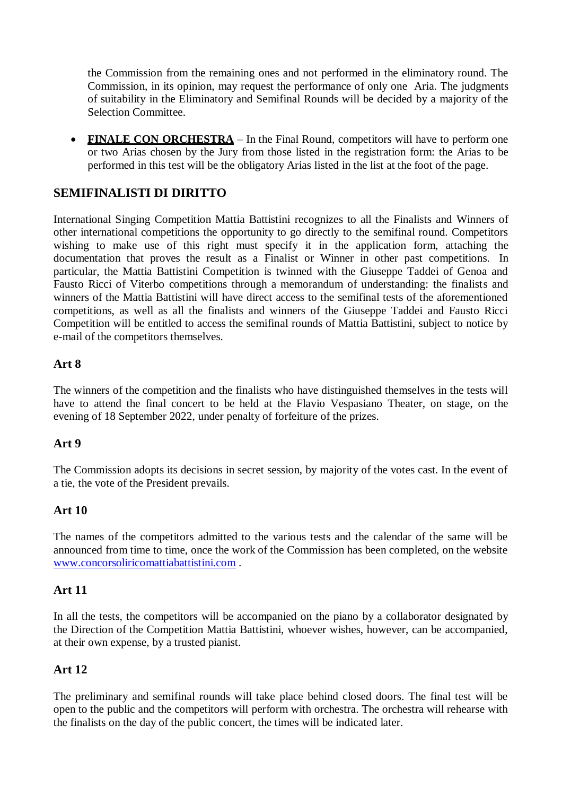the Commission from the remaining ones and not performed in the eliminatory round. The Commission, in its opinion, may request the performance of only one Aria. The judgments of suitability in the Eliminatory and Semifinal Rounds will be decided by a majority of the Selection Committee.

• FINALE CON ORCHESTRA – In the Final Round, competitors will have to perform one or two Arias chosen by the Jury from those listed in the registration form: the Arias to be performed in this test will be the obligatory Arias listed in the list at the foot of the page.

### **SEMIFINALISTI DI DIRITTO**

International Singing Competition Mattia Battistini recognizes to all the Finalists and Winners of other international competitions the opportunity to go directly to the semifinal round. Competitors wishing to make use of this right must specify it in the application form, attaching the documentation that proves the result as a Finalist or Winner in other past competitions. In particular, the Mattia Battistini Competition is twinned with the Giuseppe Taddei of Genoa and Fausto Ricci of Viterbo competitions through a memorandum of understanding: the finalists and winners of the Mattia Battistini will have direct access to the semifinal tests of the aforementioned competitions, as well as all the finalists and winners of the Giuseppe Taddei and Fausto Ricci Competition will be entitled to access the semifinal rounds of Mattia Battistini, subject to notice by e-mail of the competitors themselves.

#### **Art 8**

The winners of the competition and the finalists who have distinguished themselves in the tests will have to attend the final concert to be held at the Flavio Vespasiano Theater, on stage, on the evening of 18 September 2022, under penalty of forfeiture of the prizes.

#### **Art 9**

The Commission adopts its decisions in secret session, by majority of the votes cast. In the event of a tie, the vote of the President prevails.

#### **Art 10**

The names of the competitors admitted to the various tests and the calendar of the same will be announced from time to time, once the work of the Commission has been completed, on the website [www.concorsoliricomattiabattistini.com](http://www.concorsoliricomattiabattistini.com/) .

#### **Art 11**

In all the tests, the competitors will be accompanied on the piano by a collaborator designated by the Direction of the Competition Mattia Battistini, whoever wishes, however, can be accompanied, at their own expense, by a trusted pianist.

#### **Art 12**

The preliminary and semifinal rounds will take place behind closed doors. The final test will be open to the public and the competitors will perform with orchestra. The orchestra will rehearse with the finalists on the day of the public concert, the times will be indicated later.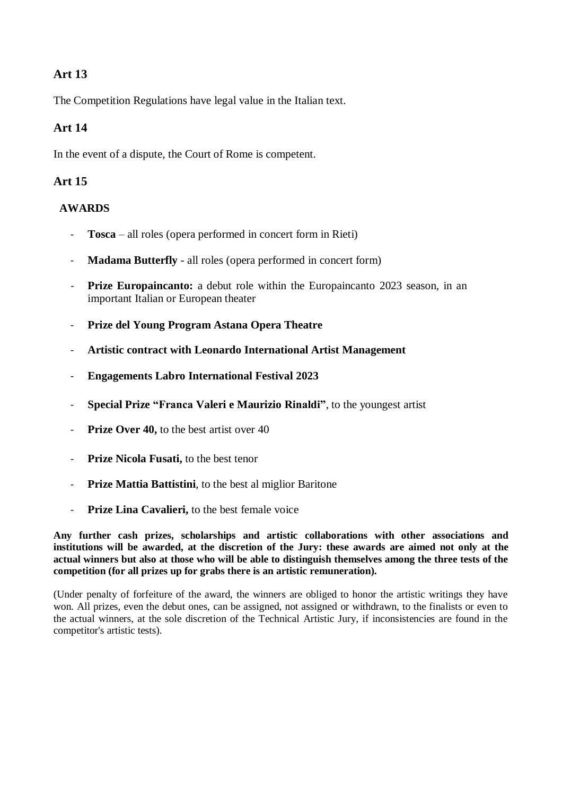## **Art 13**

The Competition Regulations have legal value in the Italian text.

### **Art 14**

In the event of a dispute, the Court of Rome is competent.

### **Art 15**

#### **AWARDS**

- **Tosca** all roles (opera performed in concert form in Rieti)
- **Madama Butterfly** all roles (opera performed in concert form)
- **Prize Europaincanto:** a debut role within the Europaincanto 2023 season, in an important Italian or European theater
- **Prize del Young Program Astana Opera Theatre**
- **Artistic contract with Leonardo International Artist Management**
- **Engagements Labro International Festival 2023**
- **Special Prize "Franca Valeri e Maurizio Rinaldi"**, to the youngest artist
- **Prize Over 40,** to the best artist over 40
- **Prize Nicola Fusati,** to the best tenor
- **Prize Mattia Battistini**, to the best al miglior Baritone
- **Prize Lina Cavalieri,** to the best female voice

**Any further cash prizes, scholarships and artistic collaborations with other associations and** institutions will be awarded, at the discretion of the Jury: these awards are aimed not only at the **actual winners but also at those who will be able to distinguish themselves among the three tests of the competition (for all prizes up for grabs there is an artistic remuneration).**

(Under penalty of forfeiture of the award, the winners are obliged to honor the artistic writings they have won. All prizes, even the debut ones, can be assigned, not assigned or withdrawn, to the finalists or even to the actual winners, at the sole discretion of the Technical Artistic Jury, if inconsistencies are found in the competitor's artistic tests).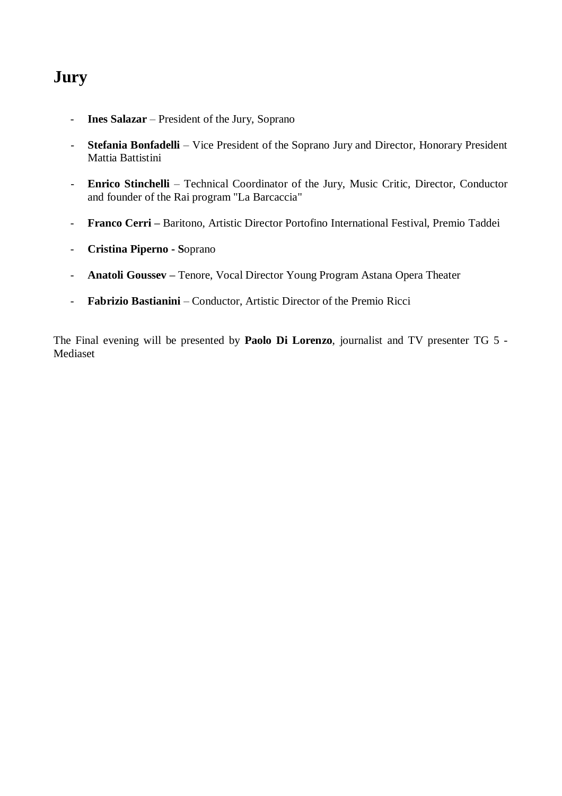# **Jury**

- **Ines Salazar** President of the Jury, Soprano
- **Stefania Bonfadelli** Vice President of the Soprano Jury and Director, Honorary President Mattia Battistini
- **Enrico Stinchelli** Technical Coordinator of the Jury, Music Critic, Director, Conductor and founder of the Rai program "La Barcaccia"
- **Franco Cerri –** Baritono, Artistic Director Portofino International Festival, Premio Taddei
- **Cristina Piperno - S**oprano
- **Anatoli Goussev –** Tenore, Vocal Director Young Program Astana Opera Theater
- **Fabrizio Bastianini** Conductor, Artistic Director of the Premio Ricci

The Final evening will be presented by **Paolo Di Lorenzo**, journalist and TV presenter TG 5 - Mediaset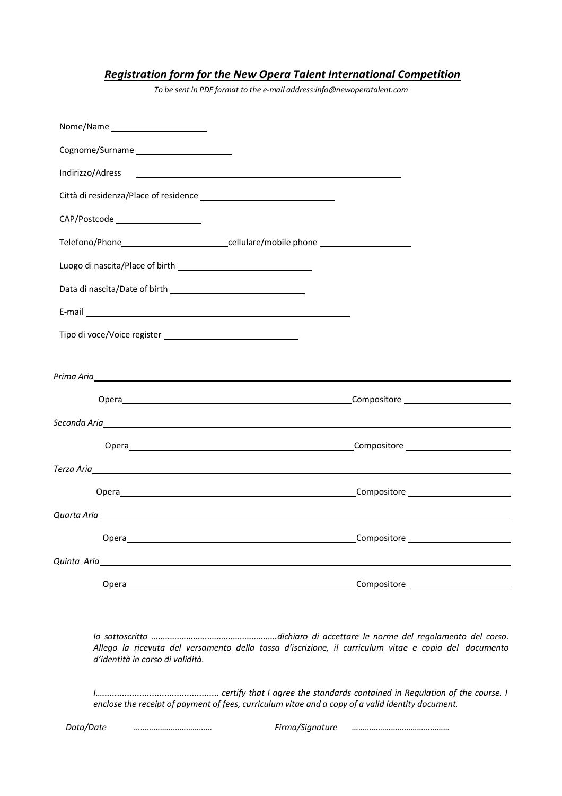## *Registration form for the New Opera Talent International Competition*

*To be sent in PDF format to the e-mail [address:info@newoperatalent.com](mailto:info@newoperatalent.com)*

| Nome/Name ________________________                                                                                                                                                                                             |                                                                                                                                                                                                                                      |
|--------------------------------------------------------------------------------------------------------------------------------------------------------------------------------------------------------------------------------|--------------------------------------------------------------------------------------------------------------------------------------------------------------------------------------------------------------------------------------|
|                                                                                                                                                                                                                                |                                                                                                                                                                                                                                      |
| Indirizzo/Adress                                                                                                                                                                                                               | <u> 1989 - Andrea Stadt Britain, fransk politik (d. 1989)</u>                                                                                                                                                                        |
|                                                                                                                                                                                                                                |                                                                                                                                                                                                                                      |
| CAP/Postcode _____________________                                                                                                                                                                                             |                                                                                                                                                                                                                                      |
|                                                                                                                                                                                                                                | Telefono/Phone____________________________cellulare/mobile phone _______________                                                                                                                                                     |
|                                                                                                                                                                                                                                |                                                                                                                                                                                                                                      |
|                                                                                                                                                                                                                                |                                                                                                                                                                                                                                      |
| E-mail experience and the contract of the contract of the contract of the contract of the contract of the contract of the contract of the contract of the contract of the contract of the contract of the contract of the cont |                                                                                                                                                                                                                                      |
|                                                                                                                                                                                                                                |                                                                                                                                                                                                                                      |
|                                                                                                                                                                                                                                |                                                                                                                                                                                                                                      |
|                                                                                                                                                                                                                                |                                                                                                                                                                                                                                      |
|                                                                                                                                                                                                                                |                                                                                                                                                                                                                                      |
|                                                                                                                                                                                                                                |                                                                                                                                                                                                                                      |
|                                                                                                                                                                                                                                |                                                                                                                                                                                                                                      |
|                                                                                                                                                                                                                                | Terza Aria <u>di Aria di Aria di Aria di Aria di Aria di Aria di Aria di Aria di Aria di Aria di Aria di Aria di Aria di Aria di Aria di Aria di Aria di Aria di Aria di Aria di Aria di Aria di Aria di Aria di Aria di Aria di</u> |
|                                                                                                                                                                                                                                |                                                                                                                                                                                                                                      |
|                                                                                                                                                                                                                                |                                                                                                                                                                                                                                      |
| Opera                                                                                                                                                                                                                          | Compositore                                                                                                                                                                                                                          |
| Quinta Aria et al. et al. et al. et al. et al. et al. et al. et al. et al. et al. et al. et al. et al. et al.                                                                                                                  |                                                                                                                                                                                                                                      |
| Opera and the contract of the contract of the contract of the contract of the contract of the contract of the                                                                                                                  |                                                                                                                                                                                                                                      |
|                                                                                                                                                                                                                                |                                                                                                                                                                                                                                      |
| d'identità in corso di validità.                                                                                                                                                                                               | Allego la ricevuta del versamento della tassa d'iscrizione, il curriculum vitae e copia del documento                                                                                                                                |
|                                                                                                                                                                                                                                | enclose the receipt of payment of fees, curriculum vitae and a copy of a valid identity document.                                                                                                                                    |
| Data/Date                                                                                                                                                                                                                      | Firma/Signature                                                                                                                                                                                                                      |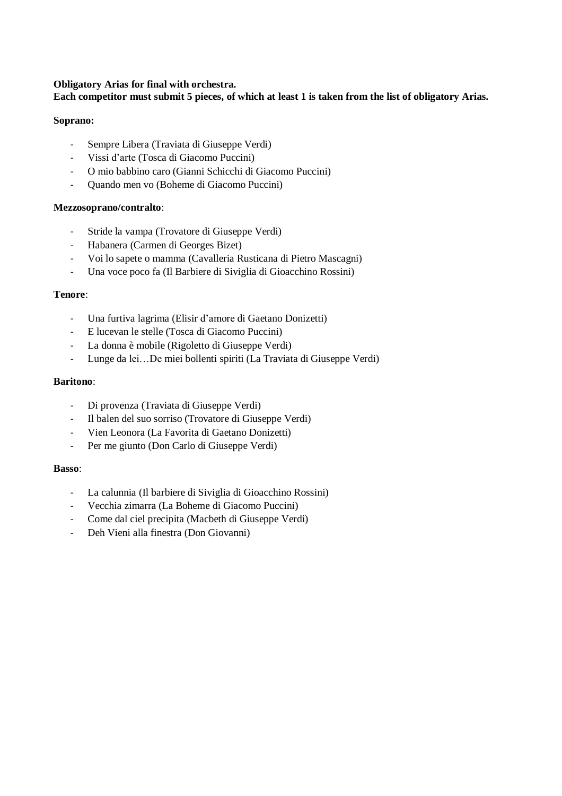#### **Obligatory Arias for final with orchestra.**

#### **Each competitor must submit 5 pieces, of which at least 1 is taken from the list of obligatory Arias.**

#### **Soprano:**

- Sempre Libera (Traviata di Giuseppe Verdi)
- Vissi d'arte (Tosca di Giacomo Puccini)
- O mio babbino caro (Gianni Schicchi di Giacomo Puccini)
- Quando men vo (Boheme di Giacomo Puccini)

#### **Mezzosoprano/contralto**:

- Stride la vampa (Trovatore di Giuseppe Verdi)
- Habanera (Carmen di Georges Bizet)
- Voi lo sapete o mamma (Cavalleria Rusticana di Pietro Mascagni)
- Una voce poco fa (Il Barbiere di Siviglia di Gioacchino Rossini)

#### **Tenore**:

- Una furtiva lagrima (Elisir d'amore di Gaetano Donizetti)
- E lucevan le stelle (Tosca di Giacomo Puccini)
- La donna è mobile (Rigoletto di Giuseppe Verdi)
- Lunge da lei…De miei bollenti spiriti (La Traviata di Giuseppe Verdi)

#### **Baritono**:

- Di provenza (Traviata di Giuseppe Verdi)
- Il balen del suo sorriso (Trovatore di Giuseppe Verdi)
- Vien Leonora (La Favorita di Gaetano Donizetti)
- Per me giunto (Don Carlo di Giuseppe Verdi)

#### **Basso**:

- La calunnia (Il barbiere di Siviglia di Gioacchino Rossini)
- Vecchia zimarra (La Boheme di Giacomo Puccini)
- Come dal ciel precipita (Macbeth di Giuseppe Verdi)
- Deh Vieni alla finestra (Don Giovanni)